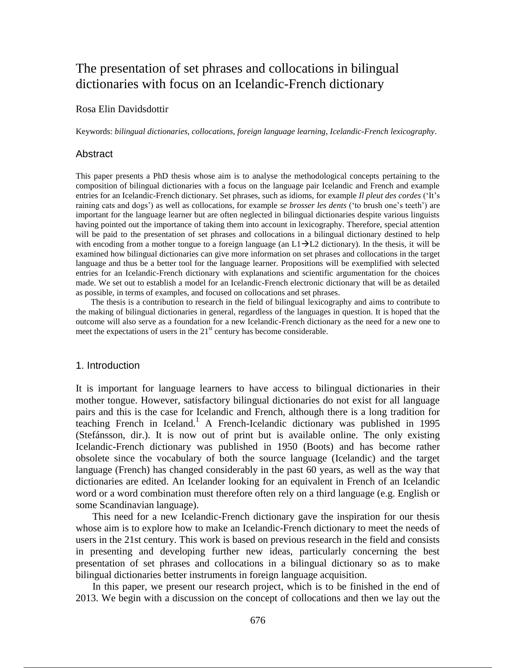# The presentation of set phrases and collocations in bilingual dictionaries with focus on an Icelandic-French dictionary

# Rosa Elin Davidsdottir

Keywords: *bilingual dictionaries*, *collocations*, *foreign language learning*, *Icelandic-French lexicography*.

#### Abstract

This paper presents a PhD thesis whose aim is to analyse the methodological concepts pertaining to the composition of bilingual dictionaries with a focus on the language pair Icelandic and French and example entries for an Icelandic-French dictionary. Set phrases, such as idioms, for example *Il pleut des cordes* ('It's raining cats and dogs') as well as collocations, for example *se brosser les dents* ('to brush one's teeth') are important for the language learner but are often neglected in bilingual dictionaries despite various linguists having pointed out the importance of taking them into account in lexicography. Therefore, special attention will be paid to the presentation of set phrases and collocations in a bilingual dictionary destined to help with encoding from a mother tongue to a foreign language (an  $L1\rightarrow L2$  dictionary). In the thesis, it will be examined how bilingual dictionaries can give more information on set phrases and collocations in the target language and thus be a better tool for the language learner. Propositions will be exemplified with selected entries for an Icelandic-French dictionary with explanations and scientific argumentation for the choices made. We set out to establish a model for an Icelandic-French electronic dictionary that will be as detailed as possible, in terms of examples, and focused on collocations and set phrases.

The thesis is a contribution to research in the field of bilingual lexicography and aims to contribute to the making of bilingual dictionaries in general, regardless of the languages in question. It is hoped that the outcome will also serve as a foundation for a new Icelandic-French dictionary as the need for a new one to meet the expectations of users in the  $21<sup>st</sup>$  century has become considerable.

#### 1. Introduction

It is important for language learners to have access to bilingual dictionaries in their mother tongue. However, satisfactory bilingual dictionaries do not exist for all language pairs and this is the case for Icelandic and French, although there is a long tradition for teaching French in Iceland.<sup>1</sup> A French-Icelandic dictionary was published in 1995 (Stefánsson, dir.). It is now out of print but is available online. The only existing Icelandic-French dictionary was published in 1950 (Boots) and has become rather obsolete since the vocabulary of both the source language (Icelandic) and the target language (French) has changed considerably in the past 60 years, as well as the way that dictionaries are edited. An Icelander looking for an equivalent in French of an Icelandic word or a word combination must therefore often rely on a third language (e.g. English or some Scandinavian language).

This need for a new Icelandic-French dictionary gave the inspiration for our thesis whose aim is to explore how to make an Icelandic-French dictionary to meet the needs of users in the 21st century. This work is based on previous research in the field and consists in presenting and developing further new ideas, particularly concerning the best presentation of set phrases and collocations in a bilingual dictionary so as to make bilingual dictionaries better instruments in foreign language acquisition.

In this paper, we present our research project, which is to be finished in the end of 2013. We begin with a discussion on the concept of collocations and then we lay out the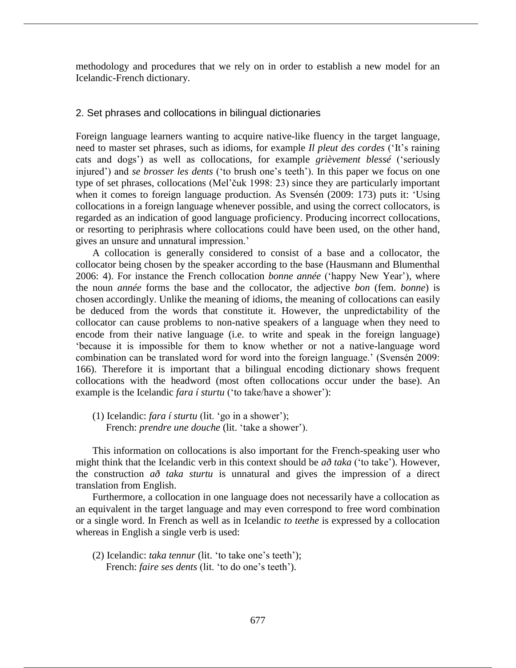methodology and procedures that we rely on in order to establish a new model for an Icelandic-French dictionary.

# 2. Set phrases and collocations in bilingual dictionaries

Foreign language learners wanting to acquire native-like fluency in the target language, need to master set phrases, such as idioms, for example *Il pleut des cordes* ('It's raining cats and dogs') as well as collocations, for example *grièvement blessé* ('seriously injured') and *se brosser les dents* ('to brush one's teeth'). In this paper we focus on one type of set phrases, collocations (Mel'čuk 1998: 23) since they are particularly important when it comes to foreign language production. As Svensén (2009: 173) puts it: 'Using collocations in a foreign language whenever possible, and using the correct collocators, is regarded as an indication of good language proficiency. Producing incorrect collocations, or resorting to periphrasis where collocations could have been used, on the other hand, gives an unsure and unnatural impression.'

A collocation is generally considered to consist of a base and a collocator, the collocator being chosen by the speaker according to the base (Hausmann and Blumenthal 2006: 4). For instance the French collocation *bonne année* ('happy New Year'), where the noun *année* forms the base and the collocator, the adjective *bon* (fem. *bonne*) is chosen accordingly. Unlike the meaning of idioms, the meaning of collocations can easily be deduced from the words that constitute it. However, the unpredictability of the collocator can cause problems to non-native speakers of a language when they need to encode from their native language (i.e. to write and speak in the foreign language) 'because it is impossible for them to know whether or not a native-language word combination can be translated word for word into the foreign language.' (Svensén 2009: 166). Therefore it is important that a bilingual encoding dictionary shows frequent collocations with the headword (most often collocations occur under the base). An example is the Icelandic *fara í sturtu* ('to take/have a shower'):

(1) Icelandic: *fara í sturtu* (lit. 'go in a shower'); French: *prendre une douche* (lit. 'take a shower').

This information on collocations is also important for the French-speaking user who might think that the Icelandic verb in this context should be *að taka* ('to take'). However, the construction *að taka sturtu* is unnatural and gives the impression of a direct translation from English.

Furthermore, a collocation in one language does not necessarily have a collocation as an equivalent in the target language and may even correspond to free word combination or a single word. In French as well as in Icelandic *to teethe* is expressed by a collocation whereas in English a single verb is used:

(2) Icelandic: *taka tennur* (lit. 'to take one's teeth'); French: *faire ses dents* (lit. 'to do one's teeth').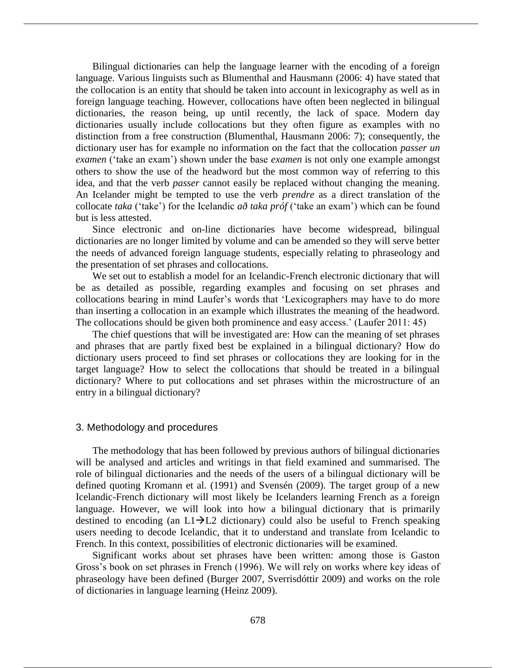Bilingual dictionaries can help the language learner with the encoding of a foreign language. Various linguists such as Blumenthal and Hausmann (2006: 4) have stated that the collocation is an entity that should be taken into account in lexicography as well as in foreign language teaching. However, collocations have often been neglected in bilingual dictionaries, the reason being, up until recently, the lack of space. Modern day dictionaries usually include collocations but they often figure as examples with no distinction from a free construction (Blumenthal, Hausmann 2006: 7); consequently, the dictionary user has for example no information on the fact that the collocation *passer un examen* ('take an exam') shown under the base *examen* is not only one example amongst others to show the use of the headword but the most common way of referring to this idea, and that the verb *passer* cannot easily be replaced without changing the meaning. An Icelander might be tempted to use the verb *prendre* as a direct translation of the collocate *taka* ('take') for the Icelandic *að taka próf* ('take an exam') which can be found but is less attested.

Since electronic and on-line dictionaries have become widespread, bilingual dictionaries are no longer limited by volume and can be amended so they will serve better the needs of advanced foreign language students, especially relating to phraseology and the presentation of set phrases and collocations.

We set out to establish a model for an Icelandic-French electronic dictionary that will be as detailed as possible, regarding examples and focusing on set phrases and collocations bearing in mind Laufer's words that 'Lexicographers may have to do more than inserting a collocation in an example which illustrates the meaning of the headword. The collocations should be given both prominence and easy access.' (Laufer 2011: 45)

The chief questions that will be investigated are: How can the meaning of set phrases and phrases that are partly fixed best be explained in a bilingual dictionary? How do dictionary users proceed to find set phrases or collocations they are looking for in the target language? How to select the collocations that should be treated in a bilingual dictionary? Where to put collocations and set phrases within the microstructure of an entry in a bilingual dictionary?

# 3. Methodology and procedures

The methodology that has been followed by previous authors of bilingual dictionaries will be analysed and articles and writings in that field examined and summarised. The role of bilingual dictionaries and the needs of the users of a bilingual dictionary will be defined quoting Kromann et al. (1991) and Svensén (2009). The target group of a new Icelandic-French dictionary will most likely be Icelanders learning French as a foreign language. However, we will look into how a bilingual dictionary that is primarily destined to encoding (an  $L1\rightarrow L2$  dictionary) could also be useful to French speaking users needing to decode Icelandic, that it to understand and translate from Icelandic to French. In this context, possibilities of electronic dictionaries will be examined.

Significant works about set phrases have been written: among those is Gaston Gross's book on set phrases in French (1996). We will rely on works where key ideas of phraseology have been defined (Burger 2007, Sverrisdóttir 2009) and works on the role of dictionaries in language learning (Heinz 2009).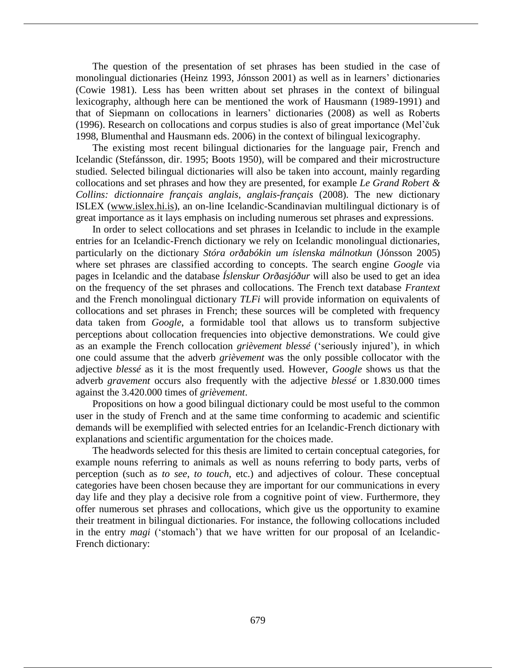The question of the presentation of set phrases has been studied in the case of monolingual dictionaries (Heinz 1993, Jónsson 2001) as well as in learners' dictionaries (Cowie 1981). Less has been written about set phrases in the context of bilingual lexicography, although here can be mentioned the work of Hausmann (1989-1991) and that of Siepmann on collocations in learners' dictionaries (2008) as well as Roberts (1996). Research on collocations and corpus studies is also of great importance (Mel'čuk 1998, Blumenthal and Hausmann eds. 2006) in the context of bilingual lexicography.

The existing most recent bilingual dictionaries for the language pair, French and Icelandic (Stefánsson, dir. 1995; Boots 1950), will be compared and their microstructure studied. Selected bilingual dictionaries will also be taken into account, mainly regarding collocations and set phrases and how they are presented, for example *Le Grand Robert & Collins: dictionnaire français anglais, anglais-français* (2008). The new dictionary ISLEX (www.islex.hi.is), an on-line Icelandic-Scandinavian multilingual dictionary is of great importance as it lays emphasis on including numerous set phrases and expressions.

In order to select collocations and set phrases in Icelandic to include in the example entries for an Icelandic-French dictionary we rely on Icelandic monolingual dictionaries, particularly on the dictionary *Stóra orðabókin um íslenska málnotkun* (Jónsson 2005) where set phrases are classified according to concepts. The search engine *Google* via pages in Icelandic and the database *Íslenskur Orðasjóður* will also be used to get an idea on the frequency of the set phrases and collocations. The French text database *Frantext* and the French monolingual dictionary *TLFi* will provide information on equivalents of collocations and set phrases in French; these sources will be completed with frequency data taken from *Google*, a formidable tool that allows us to transform subjective perceptions about collocation frequencies into objective demonstrations. We could give as an example the French collocation *grièvement blessé* ('seriously injured'), in which one could assume that the adverb *grièvement* was the only possible collocator with the adjective *blessé* as it is the most frequently used. However, *Google* shows us that the adverb *gravement* occurs also frequently with the adjective *blessé* or 1.830.000 times against the 3.420.000 times of *grièvement*.

Propositions on how a good bilingual dictionary could be most useful to the common user in the study of French and at the same time conforming to academic and scientific demands will be exemplified with selected entries for an Icelandic-French dictionary with explanations and scientific argumentation for the choices made.

The headwords selected for this thesis are limited to certain conceptual categories, for example nouns referring to animals as well as nouns referring to body parts, verbs of perception (such as *to see*, *to touch*, etc.) and adjectives of colour. These conceptual categories have been chosen because they are important for our communications in every day life and they play a decisive role from a cognitive point of view. Furthermore, they offer numerous set phrases and collocations, which give us the opportunity to examine their treatment in bilingual dictionaries. For instance, the following collocations included in the entry *magi* ('stomach') that we have written for our proposal of an Icelandic-French dictionary: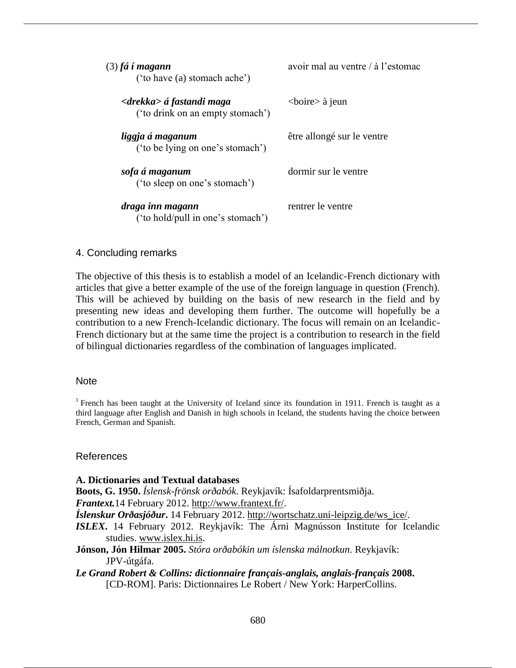| (3) fá í magann<br>('to have (a) stomach ache')                        | avoir mal au ventre / à l'estomac |
|------------------------------------------------------------------------|-----------------------------------|
| <drekka> á fastandi maga<br/>('to drink on an empty stomach')</drekka> | $\langle$ boire $\rangle$ à jeun  |
| liggja á maganum<br>('to be lying on one's stomach')                   | être allongé sur le ventre        |
| sofa á maganum<br>('to sleep on one's stomach')                        | dormir sur le ventre              |
| draga inn magann<br>('to hold/pull in one's stomach')                  | rentrer le ventre                 |
|                                                                        |                                   |

# 4. Concluding remarks

The objective of this thesis is to establish a model of an Icelandic-French dictionary with articles that give a better example of the use of the foreign language in question (French). This will be achieved by building on the basis of new research in the field and by presenting new ideas and developing them further. The outcome will hopefully be a contribution to a new French-Icelandic dictionary. The focus will remain on an Icelandic-French dictionary but at the same time the project is a contribution to research in the field of bilingual dictionaries regardless of the combination of languages implicated.

# **Note**

<sup>1</sup> French has been taught at the University of Iceland since its foundation in 1911. French is taught as a third language after English and Danish in high schools in Iceland, the students having the choice between French, German and Spanish.

# References

## **A. Dictionaries and Textual databases**

**Boots, G. 1950.** *Íslensk-frönsk orðabók*. Reykjavík: Ísafoldarprentsmiðja.

*Frantext.*14 February 2012. http://www.frantext.fr/.

- *Íslenskur Orðasjóður***.** 14 February 2012. http://wortschatz.uni-leipzig.de/ws\_ice/.
- *ISLEX***.** 14 February 2012. Reykjavík: The Árni Magnússon Institute for Icelandic studies. www.islex.hi.is.
- **Jónson, Jón Hilmar 2005.** *Stóra orðabókin um íslenska málnotkun*. Reykjavík: JPV-útgáfa.
- *Le Grand Robert & Collins: dictionnaire français-anglais, anglais-français* **2008.** [CD-ROM]. Paris: Dictionnaires Le Robert / New York: HarperCollins.